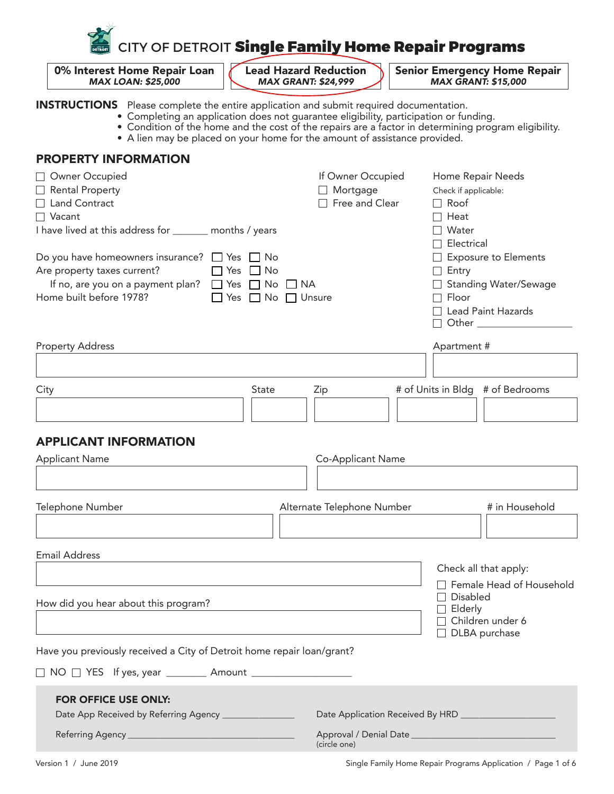

*MAX LOAN: \$25,000 MAX GRANT: \$24,999 MAX GRANT: \$15,000*

0% Interest Home Repair Loan  $\begin{matrix} 1 \end{matrix}$  Lead Hazard Reduction Mexic Emergency Home Repair MAX LOAN: \$25,000

INSTRUCTIONS Please complete the entire application and submit required documentation.

- Completing an application does not guarantee eligibility, participation or funding.
- Condition of the home and the cost of the repairs are a factor in determining program eligibility.
	- A lien may be placed on your home for the amount of assistance provided.

#### PROPERTY INFORMATION

| Owner Occupied                                                                                                                                                                                | If Owner Occupied                  |                                                   | Home Repair Needs     |                                                                                                                      |  |  |
|-----------------------------------------------------------------------------------------------------------------------------------------------------------------------------------------------|------------------------------------|---------------------------------------------------|-----------------------|----------------------------------------------------------------------------------------------------------------------|--|--|
| Rental Property                                                                                                                                                                               |                                    | □ Mortgage                                        |                       | Check if applicable:                                                                                                 |  |  |
| □ Land Contract                                                                                                                                                                               |                                    | Free and Clear                                    | Roof<br>$\Box$        |                                                                                                                      |  |  |
| $\Box$ Vacant                                                                                                                                                                                 |                                    |                                                   | Heat                  |                                                                                                                      |  |  |
| I have lived at this address for ______ months / years                                                                                                                                        |                                    |                                                   | Water<br>Electrical   |                                                                                                                      |  |  |
| Do you have homeowners insurance? $\Box$ Yes $\Box$ No<br>Are property taxes current?<br>$\Box$ Yes $\Box$ No<br>If no, are you on a payment plan? □ Yes □ No □ NA<br>Home built before 1978? | $\Box$ Yes $\Box$ No $\Box$ Unsure |                                                   | $\Box$ Entry<br>Floor | <b>Exposure to Elements</b><br><b>Standing Water/Sewage</b><br>$\Box$ Lead Paint Hazards<br>□ Other ________________ |  |  |
| <b>Property Address</b>                                                                                                                                                                       |                                    |                                                   | Apartment #           |                                                                                                                      |  |  |
|                                                                                                                                                                                               |                                    |                                                   |                       |                                                                                                                      |  |  |
| City                                                                                                                                                                                          | <b>State</b>                       | Zip                                               |                       | # of Units in Bldg # of Bedrooms                                                                                     |  |  |
|                                                                                                                                                                                               |                                    |                                                   |                       |                                                                                                                      |  |  |
| <b>APPLICANT INFORMATION</b>                                                                                                                                                                  |                                    |                                                   |                       |                                                                                                                      |  |  |
| <b>Applicant Name</b>                                                                                                                                                                         |                                    | Co-Applicant Name                                 |                       |                                                                                                                      |  |  |
|                                                                                                                                                                                               |                                    |                                                   |                       |                                                                                                                      |  |  |
| Telephone Number                                                                                                                                                                              |                                    | Alternate Telephone Number                        |                       | # in Household                                                                                                       |  |  |
|                                                                                                                                                                                               |                                    |                                                   |                       |                                                                                                                      |  |  |
|                                                                                                                                                                                               |                                    |                                                   |                       |                                                                                                                      |  |  |
| <b>Email Address</b>                                                                                                                                                                          |                                    |                                                   |                       | Check all that apply:                                                                                                |  |  |
|                                                                                                                                                                                               |                                    |                                                   |                       | Female Head of Household                                                                                             |  |  |
|                                                                                                                                                                                               |                                    |                                                   | <b>Disabled</b>       |                                                                                                                      |  |  |
| How did you hear about this program?                                                                                                                                                          |                                    | Elderly                                           |                       |                                                                                                                      |  |  |
|                                                                                                                                                                                               |                                    |                                                   |                       | Children under 6<br>DLBA purchase                                                                                    |  |  |
| Have you previously received a City of Detroit home repair loan/grant?                                                                                                                        |                                    |                                                   |                       |                                                                                                                      |  |  |
|                                                                                                                                                                                               |                                    |                                                   |                       |                                                                                                                      |  |  |
| <b>FOR OFFICE USE ONLY:</b>                                                                                                                                                                   |                                    |                                                   |                       |                                                                                                                      |  |  |
| Date App Received by Referring Agency _________________                                                                                                                                       |                                    | Date Application Received By HRD ________________ |                       |                                                                                                                      |  |  |
|                                                                                                                                                                                               | (circle one)                       |                                                   |                       |                                                                                                                      |  |  |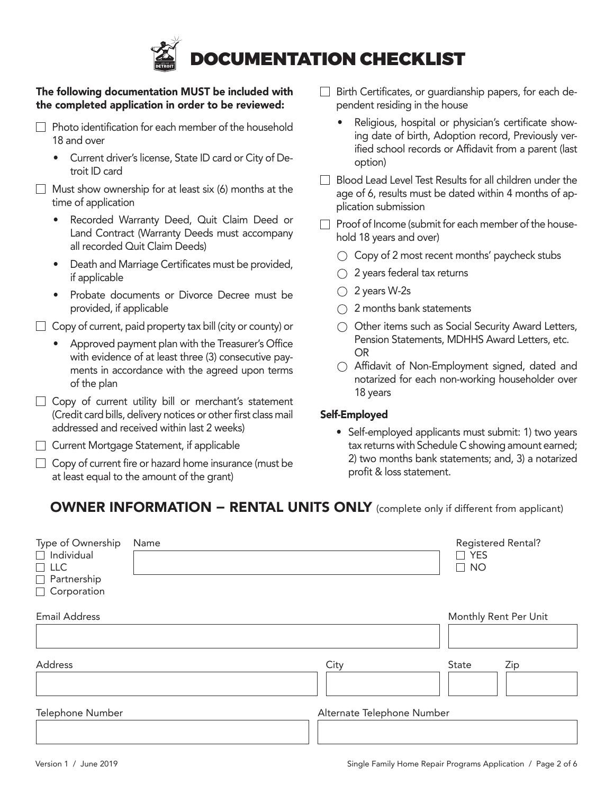

#### The following documentation MUST be included with the completed application in order to be reviewed:

- $\Box$  Photo identification for each member of the household 18 and over
	- Current driver's license, State ID card or City of Detroit ID card
- $\Box$  Must show ownership for at least six (6) months at the time of application
	- Recorded Warranty Deed, Quit Claim Deed or Land Contract (Warranty Deeds must accompany all recorded Quit Claim Deeds)
	- Death and Marriage Certificates must be provided, if applicable
	- Probate documents or Divorce Decree must be provided, if applicable

 $\Box$  Copy of current, paid property tax bill (city or county) or

- Approved payment plan with the Treasurer's Office with evidence of at least three (3) consecutive payments in accordance with the agreed upon terms of the plan
- $\Box$  Copy of current utility bill or merchant's statement (Credit card bills, delivery notices or other first class mail addressed and received within last 2 weeks)
- □ Current Mortgage Statement, if applicable
- $\Box$  Copy of current fire or hazard home insurance (must be at least equal to the amount of the grant)
- $\Box$  Birth Certificates, or quardianship papers, for each dependent residing in the house
	- Religious, hospital or physician's certificate showing date of birth, Adoption record, Previously verified school records or Affidavit from a parent (last option)
- $\Box$  Blood Lead Level Test Results for all children under the age of 6, results must be dated within 4 months of application submission
- $\Box$  Proof of Income (submit for each member of the household 18 years and over)
	- $\bigcirc$  Copy of 2 most recent months' paycheck stubs
	- $\bigcirc$  2 years federal tax returns
	- $\bigcirc$  2 years W-2s
	- 2 months bank statements
	- $\bigcirc$  Other items such as Social Security Award Letters, Pension Statements, MDHHS Award Letters, etc. OR
	- Affidavit of Non-Employment signed, dated and notarized for each non-working householder over 18 years

#### Self-Employed

• Self-employed applicants must submit: 1) two years tax returns with Schedule C showing amount earned; 2) two months bank statements; and, 3) a notarized profit & loss statement.

#### OWNER INFORMATION – RENTAL UNITS ONLY (complete only if different from applicant)

| Type of Ownership<br>$\Box$ Individual<br>$\Box$ LLC<br>$\Box$ Partnership<br>$\Box$ Corporation | Name |                            | <b>Registered Rental?</b><br>$\Box$ YES<br>$\Box$ NO |
|--------------------------------------------------------------------------------------------------|------|----------------------------|------------------------------------------------------|
| <b>Email Address</b>                                                                             |      |                            | Monthly Rent Per Unit                                |
| Address                                                                                          |      | City                       | State<br>Zip                                         |
| Telephone Number                                                                                 |      | Alternate Telephone Number |                                                      |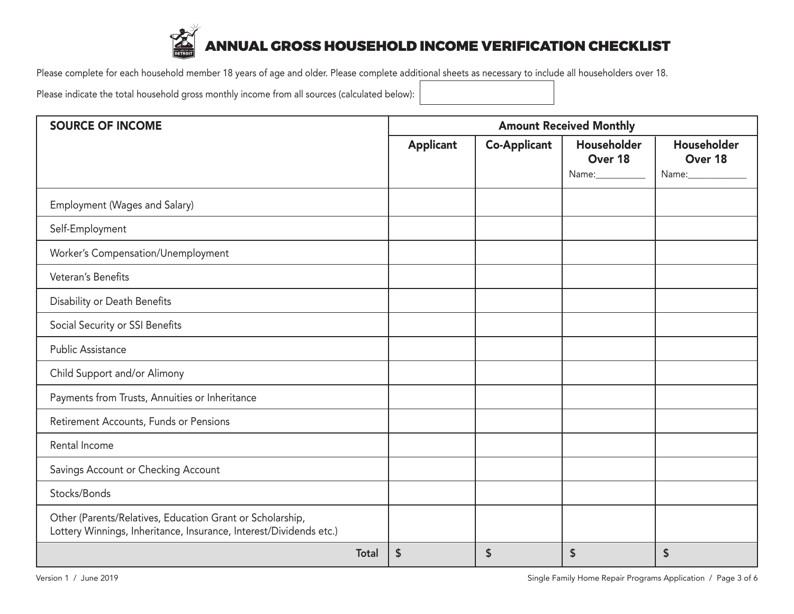

# ANNUAL GROSS HOUSEHOLD INCOME VERIFICATION CHECKLIST

Please complete for each household member 18 years of age and older. Please complete additional sheets as necessary to include all householders over 18.

Please indicate the total household gross monthly income from all sources (calculated below):

| <b>SOURCE OF INCOME</b>                                                                                                         |              | <b>Amount Received Monthly</b> |                     |                                             |                        |  |  |
|---------------------------------------------------------------------------------------------------------------------------------|--------------|--------------------------------|---------------------|---------------------------------------------|------------------------|--|--|
|                                                                                                                                 |              | <b>Applicant</b>               | <b>Co-Applicant</b> | Householder<br>Over 18<br>Name:____________ | Householder<br>Over 18 |  |  |
| Employment (Wages and Salary)                                                                                                   |              |                                |                     |                                             |                        |  |  |
| Self-Employment                                                                                                                 |              |                                |                     |                                             |                        |  |  |
| Worker's Compensation/Unemployment                                                                                              |              |                                |                     |                                             |                        |  |  |
| Veteran's Benefits                                                                                                              |              |                                |                     |                                             |                        |  |  |
| Disability or Death Benefits                                                                                                    |              |                                |                     |                                             |                        |  |  |
| Social Security or SSI Benefits                                                                                                 |              |                                |                     |                                             |                        |  |  |
| <b>Public Assistance</b>                                                                                                        |              |                                |                     |                                             |                        |  |  |
| Child Support and/or Alimony                                                                                                    |              |                                |                     |                                             |                        |  |  |
| Payments from Trusts, Annuities or Inheritance                                                                                  |              |                                |                     |                                             |                        |  |  |
| Retirement Accounts, Funds or Pensions                                                                                          |              |                                |                     |                                             |                        |  |  |
| Rental Income                                                                                                                   |              |                                |                     |                                             |                        |  |  |
| Savings Account or Checking Account                                                                                             |              |                                |                     |                                             |                        |  |  |
| Stocks/Bonds                                                                                                                    |              |                                |                     |                                             |                        |  |  |
| Other (Parents/Relatives, Education Grant or Scholarship,<br>Lottery Winnings, Inheritance, Insurance, Interest/Dividends etc.) |              |                                |                     |                                             |                        |  |  |
|                                                                                                                                 | <b>Total</b> | $\boldsymbol{\mathsf{S}}$      | \$                  | \$                                          | \$                     |  |  |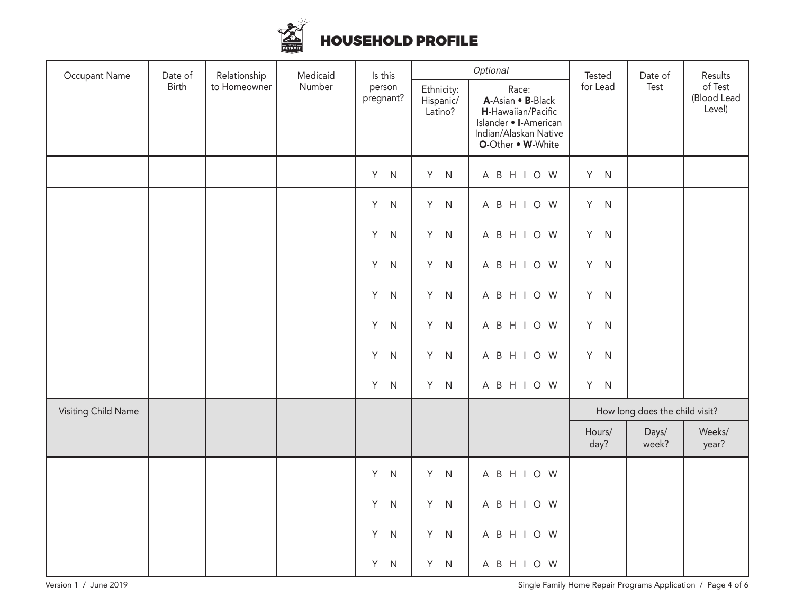

## HOUSEHOLD PROFILE

| Occupant Name<br>Date of | Relationship | Medicaid     | Is this | Optional            |                                    | Tested                                                                                                                  | Date of                        | Results        |                                  |
|--------------------------|--------------|--------------|---------|---------------------|------------------------------------|-------------------------------------------------------------------------------------------------------------------------|--------------------------------|----------------|----------------------------------|
|                          | Birth        | to Homeowner | Number  | person<br>pregnant? | Ethnicity:<br>Hispanic/<br>Latino? | Race:<br>A-Asian . B-Black<br>H-Hawaiian/Pacific<br>Islander • I-American<br>Indian/Alaskan Native<br>O-Other . W-White | for Lead                       | Test           | of Test<br>(Blood Lead<br>Level) |
|                          |              |              |         | Y<br>$\mathsf{N}$   | Y N                                | A B H I O W                                                                                                             | Y N                            |                |                                  |
|                          |              |              |         | Y<br>$\mathsf{N}$   | Y N                                | A B H I O W                                                                                                             | Y N                            |                |                                  |
|                          |              |              |         | Y.<br>${\sf N}$     | Y N                                | A B H I O W                                                                                                             | Y N                            |                |                                  |
|                          |              |              |         | Y<br>${\sf N}$      | Y N                                | A B H I O W                                                                                                             | Y N                            |                |                                  |
|                          |              |              |         | Y<br>${\sf N}$      | Y N                                | A B H I O W                                                                                                             | Y N                            |                |                                  |
|                          |              |              |         | Y<br>${\sf N}$      | Y N                                | A B H I O W                                                                                                             | Y N                            |                |                                  |
|                          |              |              |         | Y<br>$\mathsf{N}$   | Y N                                | A B H I O W                                                                                                             | Y N                            |                |                                  |
|                          |              |              |         | Y<br>${\sf N}$      | Y N                                | A B H I O W                                                                                                             | Y N                            |                |                                  |
| Visiting Child Name      |              |              |         |                     |                                    |                                                                                                                         | How long does the child visit? |                |                                  |
|                          |              |              |         |                     |                                    |                                                                                                                         | Hours/<br>day?                 | Days/<br>week? | Weeks/<br>year?                  |
|                          |              |              |         | Y<br>${\sf N}$      | Y N                                | A B H I O W                                                                                                             |                                |                |                                  |
|                          |              |              |         | Y<br>${\sf N}$      | Y N                                | A B H I O W                                                                                                             |                                |                |                                  |
|                          |              |              |         | Y<br>${\sf N}$      | Y N                                | A B H I O W                                                                                                             |                                |                |                                  |
|                          |              |              |         | Y<br>N              | Y N                                | A B H I O W                                                                                                             |                                |                |                                  |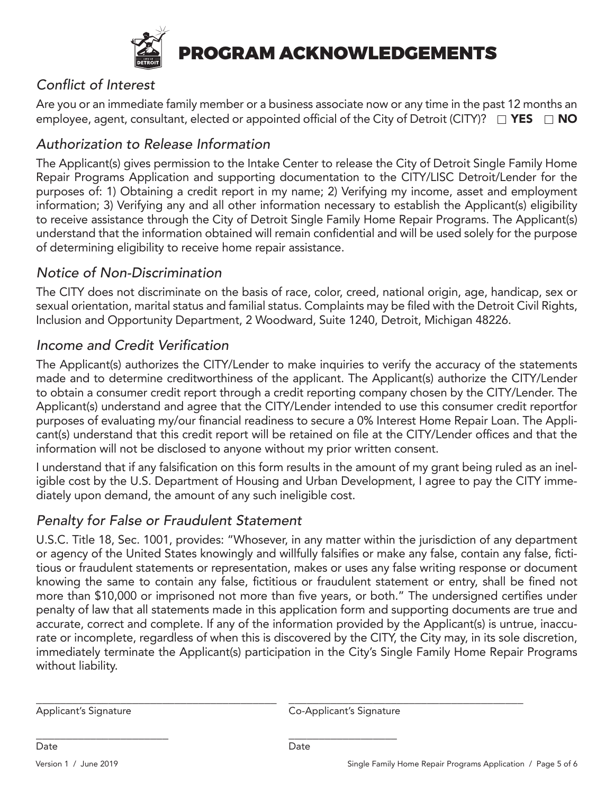

PROGRAM ACKNOWLEDGEMENTS

## Conflict of Interest

Are you or an immediate family member or a business associate now or any time in the past 12 months an employee, agent, consultant, elected or appointed official of the City of Detroit (CITY)?  $\Box$  YES  $\Box$  NO

## Authorization to Release Information

The Applicant(s) gives permission to the Intake Center to release the City of Detroit Single Family Home Repair Programs Application and supporting documentation to the CITY/LISC Detroit/Lender for the purposes of: 1) Obtaining a credit report in my name; 2) Verifying my income, asset and employment information; 3) Verifying any and all other information necessary to establish the Applicant(s) eligibility to receive assistance through the City of Detroit Single Family Home Repair Programs. The Applicant(s) understand that the information obtained will remain confidential and will be used solely for the purpose of determining eligibility to receive home repair assistance.

## Notice of Non-Discrimination

The CITY does not discriminate on the basis of race, color, creed, national origin, age, handicap, sex or sexual orientation, marital status and familial status. Complaints may be filed with the Detroit Civil Rights, Inclusion and Opportunity Department, 2 Woodward, Suite 1240, Detroit, Michigan 48226.

### Income and Credit Verification

The Applicant(s) authorizes the CITY/Lender to make inquiries to verify the accuracy of the statements made and to determine creditworthiness of the applicant. The Applicant(s) authorize the CITY/Lender to obtain a consumer credit report through a credit reporting company chosen by the CITY/Lender. The Applicant(s) understand and agree that the CITY/Lender intended to use this consumer credit reportfor purposes of evaluating my/our financial readiness to secure a 0% Interest Home Repair Loan. The Applicant(s) understand that this credit report will be retained on file at the CITY/Lender offices and that the information will not be disclosed to anyone without my prior written consent.

I understand that if any falsification on this form results in the amount of my grant being ruled as an ineligible cost by the U.S. Department of Housing and Urban Development, I agree to pay the CITY immediately upon demand, the amount of any such ineligible cost.

## Penalty for False or Fraudulent Statement

\_\_\_\_\_\_\_\_\_\_\_\_\_\_\_\_\_\_\_\_\_\_ \_\_\_\_\_\_\_\_\_\_\_\_\_\_\_\_\_\_

Date Date

U.S.C. Title 18, Sec. 1001, provides: "Whosever, in any matter within the jurisdiction of any department or agency of the United States knowingly and willfully falsifies or make any false, contain any false, fictitious or fraudulent statements or representation, makes or uses any false writing response or document knowing the same to contain any false, fictitious or fraudulent statement or entry, shall be fined not more than \$10,000 or imprisoned not more than five years, or both." The undersigned certifies under penalty of law that all statements made in this application form and supporting documents are true and accurate, correct and complete. If any of the information provided by the Applicant(s) is untrue, inaccurate or incomplete, regardless of when this is discovered by the CITY, the City may, in its sole discretion, immediately terminate the Applicant(s) participation in the City's Single Family Home Repair Programs without liability.

\_\_\_\_\_\_\_\_\_\_\_\_\_\_\_\_\_\_\_\_\_\_\_\_\_\_\_\_\_\_\_\_\_\_\_\_\_\_\_\_ \_\_\_\_\_\_\_\_\_\_\_\_\_\_\_\_\_\_\_\_\_\_\_\_\_\_\_\_\_\_\_\_\_\_\_\_\_\_\_

Applicant's Signature Co-Applicant's Signature